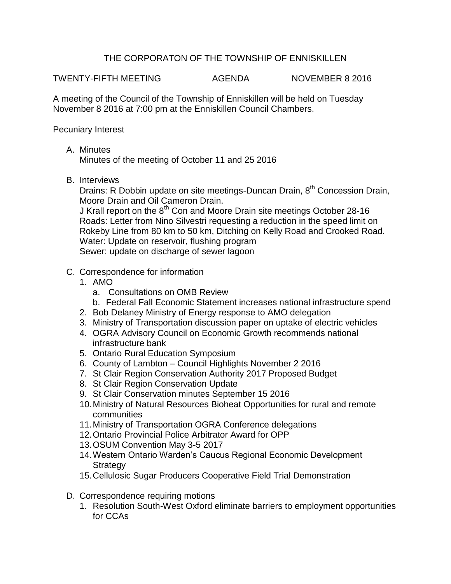## THE CORPORATON OF THE TOWNSHIP OF ENNISKILLEN

TWENTY-FIFTH MEETING AGENDA NOVEMBER 8 2016

A meeting of the Council of the Township of Enniskillen will be held on Tuesday November 8 2016 at 7:00 pm at the Enniskillen Council Chambers.

Pecuniary Interest

A. Minutes

Minutes of the meeting of October 11 and 25 2016

B. Interviews

Drains: R Dobbin update on site meetings-Duncan Drain, 8<sup>th</sup> Concession Drain, Moore Drain and Oil Cameron Drain.

J Krall report on the 8<sup>th</sup> Con and Moore Drain site meetings October 28-16 Roads: Letter from Nino Silvestri requesting a reduction in the speed limit on Rokeby Line from 80 km to 50 km, Ditching on Kelly Road and Crooked Road. Water: Update on reservoir, flushing program Sewer: update on discharge of sewer lagoon

- C. Correspondence for information
	- 1. AMO
		- a. Consultations on OMB Review
		- b. Federal Fall Economic Statement increases national infrastructure spend
	- 2. Bob Delaney Ministry of Energy response to AMO delegation
	- 3. Ministry of Transportation discussion paper on uptake of electric vehicles
	- 4. OGRA Advisory Council on Economic Growth recommends national infrastructure bank
	- 5. Ontario Rural Education Symposium
	- 6. County of Lambton Council Highlights November 2 2016
	- 7. St Clair Region Conservation Authority 2017 Proposed Budget
	- 8. St Clair Region Conservation Update
	- 9. St Clair Conservation minutes September 15 2016
	- 10.Ministry of Natural Resources Bioheat Opportunities for rural and remote communities
	- 11.Ministry of Transportation OGRA Conference delegations
	- 12.Ontario Provincial Police Arbitrator Award for OPP
	- 13.OSUM Convention May 3-5 2017
	- 14.Western Ontario Warden's Caucus Regional Economic Development **Strategy**
	- 15.Cellulosic Sugar Producers Cooperative Field Trial Demonstration
- D. Correspondence requiring motions
	- 1. Resolution South-West Oxford eliminate barriers to employment opportunities for CCAs